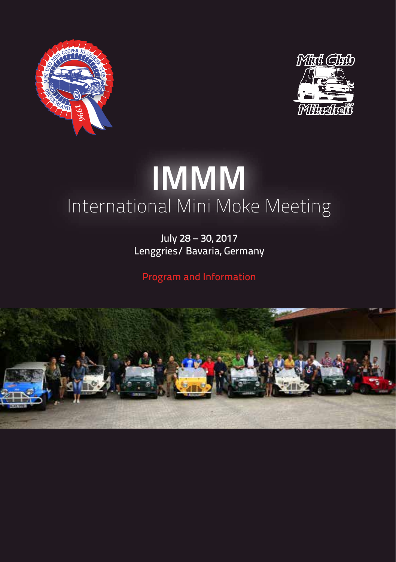



# **IMMM** International Mini Moke Meeting

July 28 – 30, 2017 Lenggries/ Bavaria, Germany

Program and Information

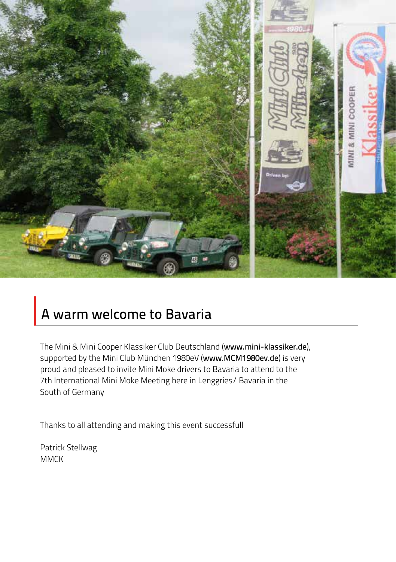

# A warm welcome to Bavaria

The Mini & Mini Cooper Klassiker Club Deutschland (www.mini-klassiker.de), supported by the Mini Club München 1980eV (www.MCM1980ev.de) is very proud and pleased to invite Mini Moke drivers to Bavaria to attend to the 7th International Mini Moke Meeting here in Lenggries/ Bavaria in the South of Germany

Thanks to all attending and making this event successfull

Patrick Stellwag **MMCK**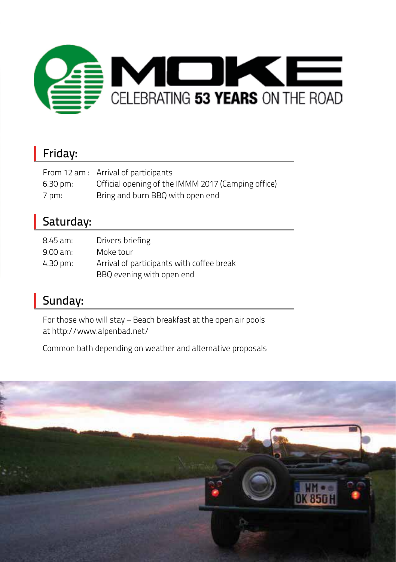

### Friday:

|                      | From 12 am : Arrival of participants               |
|----------------------|----------------------------------------------------|
| $6.30 \,\mathrm{pm}$ | Official opening of the IMMM 2017 (Camping office) |
| 7 pm:                | Bring and burn BBQ with open end                   |

### Saturday:

| 8.45 am:   | Drivers briefing                          |
|------------|-------------------------------------------|
| $9.00$ am: | Moke tour                                 |
| 4.30 pm:   | Arrival of participants with coffee break |
|            | BBQ evening with open end                 |

## Sunday:

For those who will stay – Beach breakfast at the open air pools at http://www.alpenbad.net/

Common bath depending on weather and alternative proposals